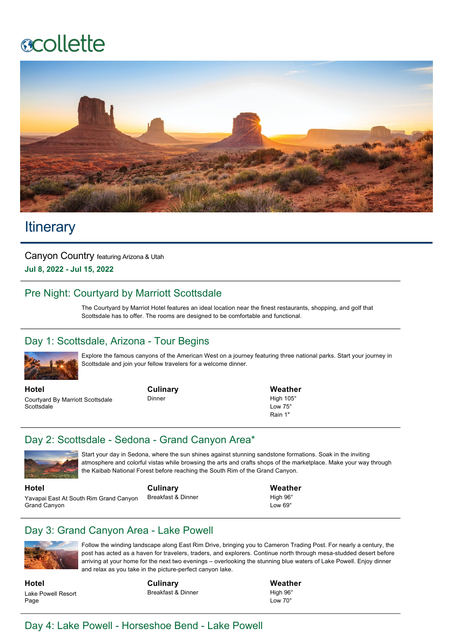# **ecollette**



# **Itinerary**

Canyon Country featuring Arizona & Utah **Jul 8, 2022 Jul 15, 2022**

# Pre Night: Courtyard by Marriott Scottsdale

The Courtyard by Marriot Hotel features an ideal location near the finest restaurants, shopping, and golf that Scottsdale has to offer. The rooms are designed to be comfortable and functional.

# Day 1: Scottsdale, Arizona - Tour Begins



Explore the famous canyons of the American West on a journey featuring three national parks. Start your journey in Scottsdale and join your fellow travelers for a welcome dinner.

**Hotel** Courtyard By Marriott Scottsdale **Scottsdale** 

**Culinary** Dinner

**Weather** High 105° Low 75° Rain 1"

# Day 2: Scottsdale - Sedona - Grand Canyon Area\*



**Hotel**

Start your day in Sedona, where the sun shines against stunning sandstone formations. Soak in the inviting atmosphere and colorful vistas while browsing the arts and crafts shops of the marketplace. Make your way through the Kaibab National Forest before reaching the South Rim of the Grand Canyon.

Yavapai East At South Rim Grand Canyon Grand Canyon

**Culinary** Breakfast & Dinner **Weather** High 96°

Low  $69^\circ$ 

# Day 3: Grand Canyon Area - Lake Powell



Follow the winding landscape along East Rim Drive, bringing you to Cameron Trading Post. For nearly a century, the post has acted as a haven for travelers, traders, and explorers. Continue north through mesa-studded desert before arriving at your home for the next two evenings – overlooking the stunning blue waters of Lake Powell. Enjoy dinner and relax as you take in the picture-perfect canyon lake.

**Hotel** Lake Powell Resort Page

**Culinary** Breakfast & Dinner **Weather** High 96° Low 70°

# Day 4: Lake Powell - Horseshoe Bend - Lake Powell